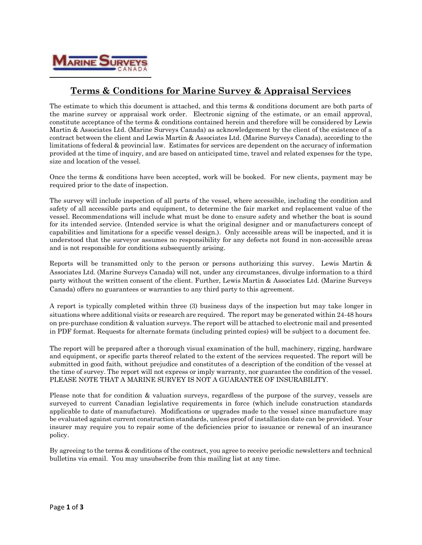

## **Terms & Conditions for Marine Survey & Appraisal Services**

The estimate to which this document is attached, and this terms & conditions document are both parts of the marine survey or appraisal work order. Electronic signing of the estimate, or an email approval, constitute acceptance of the terms & conditions contained herein and therefore will be considered by Lewis Martin & Associates Ltd. (Marine Surveys Canada) as acknowledgement by the client of the existence of a contract between the client and Lewis Martin & Associates Ltd. (Marine Surveys Canada), according to the limitations of federal & provincial law. Estimates for services are dependent on the accuracy of information provided at the time of inquiry, and are based on anticipated time, travel and related expenses for the type, size and location of the vessel.

Once the terms & conditions have been accepted, work will be booked. For new clients, payment may be required prior to the date of inspection.

The survey will include inspection of all parts of the vessel, where accessible, including the condition and safety of all accessible parts and equipment, to determine the fair market and replacement value of the vessel. Recommendations will include what must be done to ensure safety and whether the boat is sound for its intended service. (Intended service is what the original designer and or manufacturers concept of capabilities and limitations for a specific vessel design.). Only accessible areas will be inspected, and it is understood that the surveyor assumes no responsibility for any defects not found in non-accessible areas and is not responsible for conditions subsequently arising.

Reports will be transmitted only to the person or persons authorizing this survey. Lewis Martin & Associates Ltd. (Marine Surveys Canada) will not, under any circumstances, divulge information to a third party without the written consent of the client. Further, Lewis Martin & Associates Ltd. (Marine Surveys Canada) offers no guarantees or warranties to any third party to this agreement.

A report is typically completed within three (3) business days of the inspection but may take longer in situations where additional visits or research are required. The report may be generated within 24-48 hours on pre-purchase condition & valuation surveys. The report will be attached to electronic mail and presented in PDF format. Requests for alternate formats (including printed copies) will be subject to a document fee.

The report will be prepared after a thorough visual examination of the hull, machinery, rigging, hardware and equipment, or specific parts thereof related to the extent of the services requested. The report will be submitted in good faith, without prejudice and constitutes of a description of the condition of the vessel at the time of survey. The report will not express or imply warranty, nor guarantee the condition of the vessel. PLEASE NOTE THAT A MARINE SURVEY IS NOT A GUARANTEE OF INSURABILITY.

Please note that for condition & valuation surveys, regardless of the purpose of the survey, vessels are surveyed to current Canadian legislative requirements in force (which include construction standards applicable to date of manufacture). Modifications or upgrades made to the vessel since manufacture may be evaluated against current construction standards, unless proof of installation date can be provided. Your insurer may require you to repair some of the deficiencies prior to issuance or renewal of an insurance policy.

By agreeing to the terms & conditions of the contract, you agree to receive periodic newsletters and technical bulletins via email. You may unsubscribe from this mailing list at any time.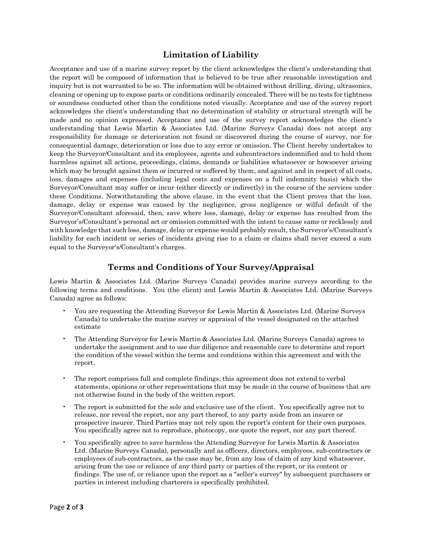## **Limitation of Liability**

Acceptance and use of a marine survey report by the client acknowledges the client's understanding that the report will be composed of information that is believed to be true after reasonable investigation and inquiry but is not warranted to be so. The information will be obtained without drilling, diving, ultrasonics, cleaning or opening up to expose parts or conditions ordinarily concealed. There will be no tests for tightness or soundness conducted other than the conditions noted visually. Acceptance and use of the survey report acknowledges the client's understanding that no determination of stability or structural strength will be made and no opinion expressed. Acceptance and use of the survey report acknowledges the client's understanding that Lewis Martin & Associates Ltd. (Marine Surveys Canada) does not accept any responsibility for damage or deterioration not found or discovered during the course of survey, nor for consequential damage, deterioration or loss due to any error or omission. The Client hereby undertakes to keep the Surveyor/Consultant and its employees, agents and subcontractors indemnified and to hold them harmless against all actions, proceedings, claims, demands or liabilities whatsoever or howsoever arising which may be brought against them or incurred or suffered by them, and against and in respect of all costs, loss, damages and expenses (including legal costs and expenses on a full indemnity basis) which the Surveyor/Consultant may suffer or incur (either directly or indirectly) in the course of the services under these Conditions. Notwithstanding the above clause, in the event that the Client proves that the loss, damage, delay or expense was caused by the negligence, gross negligence or wilful default of the Surveyor/Consultant aforesaid, then, save where loss, damage, delay or expense has resulted from the Surveyor's/Consultant's personal act or omission committed with the intent to cause same or recklessly and with knowledge that such loss, damage, delay or expense would probably result, the Surveyor's/Consultant's liability for each incident or series of incidents giving rise to a claim or claims shall never exceed a sum equal to the Surveyor's/Consultant's charges.

## **Terms and Conditions of Your Survey/Appraisal**

Lewis Martin & Associates Ltd. (Marine Surveys Canada) provides marine surveys according to the following terms and conditions. You (the client) and Lewis Martin & Associates Ltd. (Marine Surveys Canada) agree as follows:

- You are requesting the Attending Surveyor for Lewis Martin & Associates Ltd. (Marine Surveys Canada) to undertake the marine survey or appraisal of the vessel designated on the attached estimate
- The Attending Surveyor for Lewis Martin & Associates Ltd. (Marine Surveys Canada) agrees to undertake the assignment and to use due diligence and reasonable care to determine and report the condition of the vessel within the terms and conditions within this agreement and with the report.
- The report comprises full and complete findings; this agreement does not extend to verbal statements, opinions or other representations that may be made in the course of business that are not otherwise found in the body of the written report.
- The report is submitted for the sole and exclusive use of the client. You specifically agree not to release, nor reveal the report, nor any part thereof, to any party aside from an insurer or prospective insurer. Third Parties may not rely upon the report's content for their own purposes. You specifically agree not to reproduce, photocopy, nor quote the report, nor any part thereof.
- You specifically agree to save harmless the Attending Surveyor for Lewis Martin & Associates Ltd. (Marine Surveys Canada), personally and as officers, directors, employees, sub-contractors or employees of sub-contractors, as the case may be, from any loss of claim of any kind whatsoever, arising from the use or reliance of any third party or parties of the report, or its content or findings. The use of, or reliance upon the report as a "seller's survey" by subsequent purchasers or parties in interest including charterers is specifically prohibited.